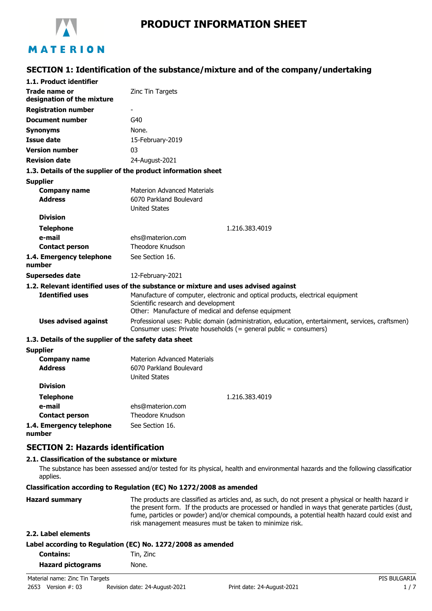

# MATERION

### **SECTION 1: Identification of the substance/mixture and of the company/undertaking**

| 1.1. Product identifier                               |                                                                                                                                                                              |
|-------------------------------------------------------|------------------------------------------------------------------------------------------------------------------------------------------------------------------------------|
| Trade name or<br>designation of the mixture           | Zinc Tin Targets                                                                                                                                                             |
| <b>Registration number</b>                            |                                                                                                                                                                              |
| <b>Document number</b>                                | G40                                                                                                                                                                          |
| <b>Synonyms</b>                                       | None.                                                                                                                                                                        |
| <b>Issue date</b>                                     | 15-February-2019                                                                                                                                                             |
| <b>Version number</b>                                 | 03                                                                                                                                                                           |
| <b>Revision date</b>                                  | 24-August-2021                                                                                                                                                               |
|                                                       | 1.3. Details of the supplier of the product information sheet                                                                                                                |
| <b>Supplier</b>                                       |                                                                                                                                                                              |
| <b>Company name</b><br><b>Address</b>                 | <b>Materion Advanced Materials</b><br>6070 Parkland Boulevard<br><b>United States</b>                                                                                        |
| <b>Division</b>                                       |                                                                                                                                                                              |
| <b>Telephone</b>                                      | 1.216.383.4019                                                                                                                                                               |
| e-mail                                                | ehs@materion.com                                                                                                                                                             |
| <b>Contact person</b>                                 | <b>Theodore Knudson</b>                                                                                                                                                      |
| 1.4. Emergency telephone<br>number                    | See Section 16.                                                                                                                                                              |
| Supersedes date                                       | 12-February-2021                                                                                                                                                             |
|                                                       | 1.2. Relevant identified uses of the substance or mixture and uses advised against                                                                                           |
| <b>Identified uses</b>                                | Manufacture of computer, electronic and optical products, electrical equipment<br>Scientific research and development<br>Other: Manufacture of medical and defense equipment |
| <b>Uses advised against</b>                           | Professional uses: Public domain (administration, education, entertainment, services, craftsmen)<br>Consumer uses: Private households (= general public = consumers)         |
| 1.3. Details of the supplier of the safety data sheet |                                                                                                                                                                              |
| <b>Supplier</b>                                       |                                                                                                                                                                              |
| <b>Company name</b>                                   | <b>Materion Advanced Materials</b>                                                                                                                                           |
| <b>Address</b>                                        | 6070 Parkland Boulevard<br><b>United States</b>                                                                                                                              |
| <b>Division</b>                                       |                                                                                                                                                                              |
| <b>Telephone</b>                                      | 1.216.383.4019                                                                                                                                                               |
| e-mail                                                | ehs@materion.com                                                                                                                                                             |
| <b>Contact person</b>                                 | <b>Theodore Knudson</b>                                                                                                                                                      |
| 1.4. Emergency telephone                              | See Section 16.                                                                                                                                                              |

**1.4. Emergency telephone number**

### **SECTION 2: Hazards identification**

#### **2.1. Classification of the substance or mixture**

The substance has been assessed and/or tested for its physical, health and environmental hazards and the following classification applies.

**Classification according to Regulation (EC) No 1272/2008 as amended**

| <b>Hazard summary</b> | The products are classified as articles and, as such, do not present a physical or health hazard ir |
|-----------------------|-----------------------------------------------------------------------------------------------------|
|                       | the present form. If the products are processed or handled in ways that generate particles (dust,   |
|                       | fume, particles or powder) and/or chemical compounds, a potential health hazard could exist and     |
|                       | risk management measures must be taken to minimize risk.                                            |
|                       |                                                                                                     |

#### **2.2. Label elements**

| Label according to Regulation (EC) No. 1272/2008 as amended |  |  |
|-------------------------------------------------------------|--|--|
|-------------------------------------------------------------|--|--|

| <b>Contains:</b>         | Tin, Zinc |  |
|--------------------------|-----------|--|
| <b>Hazard pictograms</b> | None.     |  |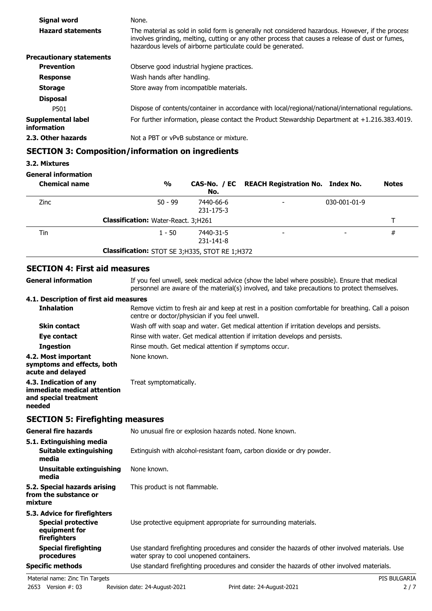| Signal word                       | None.                                                                                                                                                                                                                                                                 |  |
|-----------------------------------|-----------------------------------------------------------------------------------------------------------------------------------------------------------------------------------------------------------------------------------------------------------------------|--|
| <b>Hazard statements</b>          | The material as sold in solid form is generally not considered hazardous. However, if the process<br>involves grinding, melting, cutting or any other process that causes a release of dust or fumes,<br>hazardous levels of airborne particulate could be generated. |  |
| <b>Precautionary statements</b>   |                                                                                                                                                                                                                                                                       |  |
| <b>Prevention</b>                 | Observe good industrial hygiene practices.                                                                                                                                                                                                                            |  |
| <b>Response</b>                   | Wash hands after handling.                                                                                                                                                                                                                                            |  |
| <b>Storage</b>                    | Store away from incompatible materials.                                                                                                                                                                                                                               |  |
| <b>Disposal</b>                   |                                                                                                                                                                                                                                                                       |  |
| P501                              | Dispose of contents/container in accordance with local/regional/national/international regulations.                                                                                                                                                                   |  |
| Supplemental label<br>information | For further information, please contact the Product Stewardship Department at $+1.216.383.4019$ .                                                                                                                                                                     |  |
| 2.3. Other hazards                | Not a PBT or vPvB substance or mixture.                                                                                                                                                                                                                               |  |
|                                   |                                                                                                                                                                                                                                                                       |  |

# **SECTION 3: Composition/information on ingredients**

### **3.2. Mixtures**

### **General information**

| <b>Chemical name</b> | $\frac{1}{2}$                                    | No.                    | CAS-No. / EC REACH Registration No. Index No. |              | <b>Notes</b> |
|----------------------|--------------------------------------------------|------------------------|-----------------------------------------------|--------------|--------------|
| <b>Zinc</b>          | $50 - 99$                                        | 7440-66-6<br>231-175-3 |                                               | 030-001-01-9 |              |
|                      | <b>Classification:</b> Water-React. 3;H261       |                        |                                               |              |              |
| Tin                  | $1 - 50$                                         | 7440-31-5<br>231-141-8 | $\overline{\phantom{a}}$                      |              | #            |
|                      | Classification: STOT SE 3; H335, STOT RE 1; H372 |                        |                                               |              |              |

## **SECTION 4: First aid measures**

| <b>General information</b>                                                                 | If you feel unwell, seek medical advice (show the label where possible). Ensure that medical<br>personnel are aware of the material(s) involved, and take precautions to protect themselves. |  |  |
|--------------------------------------------------------------------------------------------|----------------------------------------------------------------------------------------------------------------------------------------------------------------------------------------------|--|--|
| 4.1. Description of first aid measures                                                     |                                                                                                                                                                                              |  |  |
| <b>Inhalation</b>                                                                          | Remove victim to fresh air and keep at rest in a position comfortable for breathing. Call a poison<br>centre or doctor/physician if you feel unwell.                                         |  |  |
| <b>Skin contact</b>                                                                        | Wash off with soap and water. Get medical attention if irritation develops and persists.                                                                                                     |  |  |
| Eye contact                                                                                | Rinse with water. Get medical attention if irritation develops and persists.                                                                                                                 |  |  |
| <b>Ingestion</b>                                                                           | Rinse mouth. Get medical attention if symptoms occur.                                                                                                                                        |  |  |
| 4.2. Most important<br>symptoms and effects, both<br>acute and delayed                     | None known.                                                                                                                                                                                  |  |  |
| 4.3. Indication of any<br>immediate medical attention<br>and special treatment<br>needed   | Treat symptomatically.                                                                                                                                                                       |  |  |
| <b>SECTION 5: Firefighting measures</b>                                                    |                                                                                                                                                                                              |  |  |
| <b>General fire hazards</b>                                                                | No unusual fire or explosion hazards noted. None known.                                                                                                                                      |  |  |
| 5.1. Extinguishing media                                                                   |                                                                                                                                                                                              |  |  |
| Suitable extinguishing<br>media                                                            | Extinguish with alcohol-resistant foam, carbon dioxide or dry powder.                                                                                                                        |  |  |
| <b>Unsuitable extinguishing</b><br>media                                                   | None known.                                                                                                                                                                                  |  |  |
| 5.2. Special hazards arising<br>from the substance or<br>mixture                           | This product is not flammable.                                                                                                                                                               |  |  |
| 5.3. Advice for firefighters<br><b>Special protective</b><br>equipment for<br>firefighters | Use protective equipment appropriate for surrounding materials.                                                                                                                              |  |  |
| <b>Special firefighting</b><br>procedures                                                  | Use standard firefighting procedures and consider the hazards of other involved materials. Use<br>water spray to cool unopened containers.                                                   |  |  |
| <b>Specific methods</b>                                                                    | Use standard firefighting procedures and consider the hazards of other involved materials.                                                                                                   |  |  |
| Material name: Zinc Tin Targets                                                            | PIS BULGARIA                                                                                                                                                                                 |  |  |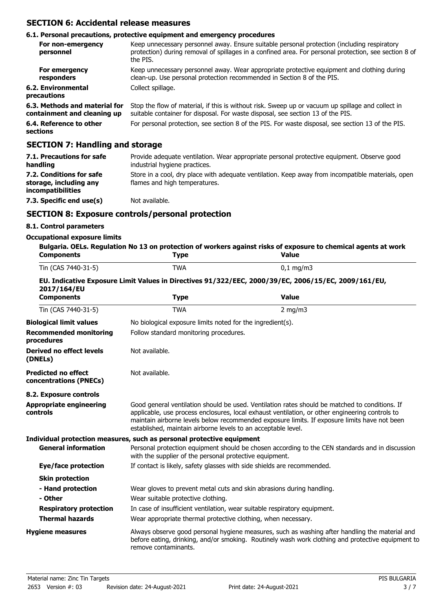### **SECTION 6: Accidental release measures**

#### **6.1. Personal precautions, protective equipment and emergency procedures**

| For non-emergency<br>personnel                               | Keep unnecessary personnel away. Ensure suitable personal protection (including respiratory<br>protection) during removal of spillages in a confined area. For personal protection, see section 8 of<br>the PIS. |
|--------------------------------------------------------------|------------------------------------------------------------------------------------------------------------------------------------------------------------------------------------------------------------------|
| For emergency<br>responders                                  | Keep unnecessary personnel away. Wear appropriate protective equipment and clothing during<br>clean-up. Use personal protection recommended in Section 8 of the PIS.                                             |
| 6.2. Environmental<br>precautions                            | Collect spillage.                                                                                                                                                                                                |
| 6.3. Methods and material for<br>containment and cleaning up | Stop the flow of material, if this is without risk. Sweep up or vacuum up spillage and collect in<br>suitable container for disposal. For waste disposal, see section 13 of the PIS.                             |
| 6.4. Reference to other<br>sections                          | For personal protection, see section 8 of the PIS. For waste disposal, see section 13 of the PIS.                                                                                                                |

### **SECTION 7: Handling and storage**

| 7.1. Precautions for safe<br>handling                                   | Provide adequate ventilation. Wear appropriate personal protective equipment. Observe good<br>industrial hygiene practices.        |
|-------------------------------------------------------------------------|------------------------------------------------------------------------------------------------------------------------------------|
| 7.2. Conditions for safe<br>storage, including any<br>incompatibilities | Store in a cool, dry place with adequate ventilation. Keep away from incompatible materials, open<br>flames and high temperatures. |
| 7.3. Specific end use(s)                                                | Not available.                                                                                                                     |

### **SECTION 8: Exposure controls/personal protection**

### **8.1. Control parameters**

#### **Occupational exposure limits**

| <b>Components</b>                                    | <b>Type</b>                                                                                                                                                                                                                                                                                                                                                        | Bulgaria. OELs. Regulation No 13 on protection of workers against risks of exposure to chemical agents at work<br><b>Value</b>                                                                      |  |  |
|------------------------------------------------------|--------------------------------------------------------------------------------------------------------------------------------------------------------------------------------------------------------------------------------------------------------------------------------------------------------------------------------------------------------------------|-----------------------------------------------------------------------------------------------------------------------------------------------------------------------------------------------------|--|--|
| Tin (CAS 7440-31-5)                                  | <b>TWA</b>                                                                                                                                                                                                                                                                                                                                                         | $0,1$ mg/m3                                                                                                                                                                                         |  |  |
| 2017/164/EU                                          |                                                                                                                                                                                                                                                                                                                                                                    | EU. Indicative Exposure Limit Values in Directives 91/322/EEC, 2000/39/EC, 2006/15/EC, 2009/161/EU,                                                                                                 |  |  |
| <b>Components</b>                                    | <b>Type</b>                                                                                                                                                                                                                                                                                                                                                        | <b>Value</b>                                                                                                                                                                                        |  |  |
| Tin (CAS 7440-31-5)                                  | <b>TWA</b>                                                                                                                                                                                                                                                                                                                                                         | $2$ mg/m $3$                                                                                                                                                                                        |  |  |
| <b>Biological limit values</b>                       |                                                                                                                                                                                                                                                                                                                                                                    | No biological exposure limits noted for the ingredient(s).                                                                                                                                          |  |  |
| <b>Recommended monitoring</b><br>procedures          | Follow standard monitoring procedures.                                                                                                                                                                                                                                                                                                                             |                                                                                                                                                                                                     |  |  |
| <b>Derived no effect levels</b><br>(DNELs)           | Not available.                                                                                                                                                                                                                                                                                                                                                     |                                                                                                                                                                                                     |  |  |
| <b>Predicted no effect</b><br>concentrations (PNECs) | Not available.                                                                                                                                                                                                                                                                                                                                                     |                                                                                                                                                                                                     |  |  |
| 8.2. Exposure controls                               |                                                                                                                                                                                                                                                                                                                                                                    |                                                                                                                                                                                                     |  |  |
| <b>Appropriate engineering</b><br>controls           | Good general ventilation should be used. Ventilation rates should be matched to conditions. If<br>applicable, use process enclosures, local exhaust ventilation, or other engineering controls to<br>maintain airborne levels below recommended exposure limits. If exposure limits have not been<br>established, maintain airborne levels to an acceptable level. |                                                                                                                                                                                                     |  |  |
|                                                      | Individual protection measures, such as personal protective equipment                                                                                                                                                                                                                                                                                              |                                                                                                                                                                                                     |  |  |
| <b>General information</b>                           | with the supplier of the personal protective equipment.                                                                                                                                                                                                                                                                                                            | Personal protection equipment should be chosen according to the CEN standards and in discussion                                                                                                     |  |  |
| Eye/face protection                                  | If contact is likely, safety glasses with side shields are recommended.                                                                                                                                                                                                                                                                                            |                                                                                                                                                                                                     |  |  |
| <b>Skin protection</b>                               |                                                                                                                                                                                                                                                                                                                                                                    |                                                                                                                                                                                                     |  |  |
| - Hand protection                                    | Wear gloves to prevent metal cuts and skin abrasions during handling.                                                                                                                                                                                                                                                                                              |                                                                                                                                                                                                     |  |  |
| - Other                                              | Wear suitable protective clothing.                                                                                                                                                                                                                                                                                                                                 |                                                                                                                                                                                                     |  |  |
| <b>Respiratory protection</b>                        | In case of insufficient ventilation, wear suitable respiratory equipment.                                                                                                                                                                                                                                                                                          |                                                                                                                                                                                                     |  |  |
| <b>Thermal hazards</b>                               | Wear appropriate thermal protective clothing, when necessary.                                                                                                                                                                                                                                                                                                      |                                                                                                                                                                                                     |  |  |
| <b>Hygiene measures</b>                              | remove contaminants.                                                                                                                                                                                                                                                                                                                                               | Always observe good personal hygiene measures, such as washing after handling the material and<br>before eating, drinking, and/or smoking. Routinely wash work clothing and protective equipment to |  |  |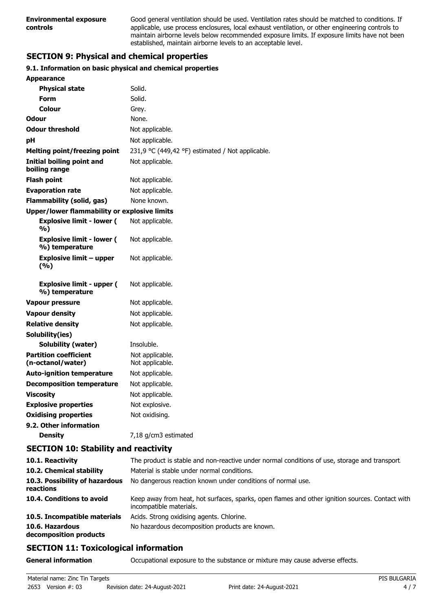Good general ventilation should be used. Ventilation rates should be matched to conditions. If applicable, use process enclosures, local exhaust ventilation, or other engineering controls to maintain airborne levels below recommended exposure limits. If exposure limits have not been established, maintain airborne levels to an acceptable level.

# **SECTION 9: Physical and chemical properties**

### **9.1. Information on basic physical and chemical properties**

| <b>Appearance</b>                                  |                                                  |
|----------------------------------------------------|--------------------------------------------------|
| <b>Physical state</b>                              | Solid.                                           |
| Form                                               | Solid.                                           |
| Colour                                             | Grey.                                            |
| Odour                                              | None.                                            |
| <b>Odour threshold</b>                             | Not applicable.                                  |
| рH                                                 | Not applicable.                                  |
| Melting point/freezing point                       | 231,9 °C (449,42 °F) estimated / Not applicable. |
| <b>Initial boiling point and</b><br>boiling range  | Not applicable.                                  |
| Flash point                                        | Not applicable.                                  |
| <b>Evaporation rate</b>                            | Not applicable.                                  |
| <b>Flammability (solid, gas)</b>                   | None known.                                      |
| Upper/lower flammability or explosive limits       |                                                  |
| <b>Explosive limit - lower (</b><br>%)             | Not applicable.                                  |
| <b>Explosive limit - lower (</b><br>%) temperature | Not applicable.                                  |
| <b>Explosive limit - upper</b><br>(%)              | Not applicable.                                  |
| <b>Explosive limit - upper (</b><br>%) temperature | Not applicable.                                  |
| Vapour pressure                                    | Not applicable.                                  |
| <b>Vapour density</b>                              | Not applicable.                                  |
| <b>Relative density</b>                            | Not applicable.                                  |
| Solubility(ies)                                    |                                                  |
| Solubility (water)                                 | Insoluble.                                       |
| <b>Partition coefficient</b><br>(n-octanol/water)  | Not applicable.<br>Not applicable.               |
| <b>Auto-ignition temperature</b>                   | Not applicable.                                  |
| <b>Decomposition temperature</b>                   | Not applicable.                                  |
| <b>Viscosity</b>                                   | Not applicable.                                  |
| <b>Explosive properties</b>                        | Not explosive.                                   |
| <b>Oxidising properties</b>                        | Not oxidising.                                   |
| 9.2. Other information                             |                                                  |
| <b>Density</b>                                     | 7,18 g/cm3 estimated                             |

### **SECTION 10: Stability and reactivity**

| 10.1. Reactivity                            | The product is stable and non-reactive under normal conditions of use, storage and transport.                              |
|---------------------------------------------|----------------------------------------------------------------------------------------------------------------------------|
| 10.2. Chemical stability                    | Material is stable under normal conditions.                                                                                |
| 10.3. Possibility of hazardous<br>reactions | No dangerous reaction known under conditions of normal use.                                                                |
| 10.4. Conditions to avoid                   | Keep away from heat, hot surfaces, sparks, open flames and other ignition sources. Contact with<br>incompatible materials. |
| 10.5. Incompatible materials                | Acids. Strong oxidising agents. Chlorine.                                                                                  |
| 10.6. Hazardous<br>decomposition products   | No hazardous decomposition products are known.                                                                             |

# **SECTION 11: Toxicological information**

**General information CCCUPATION** Occupational exposure to the substance or mixture may cause adverse effects.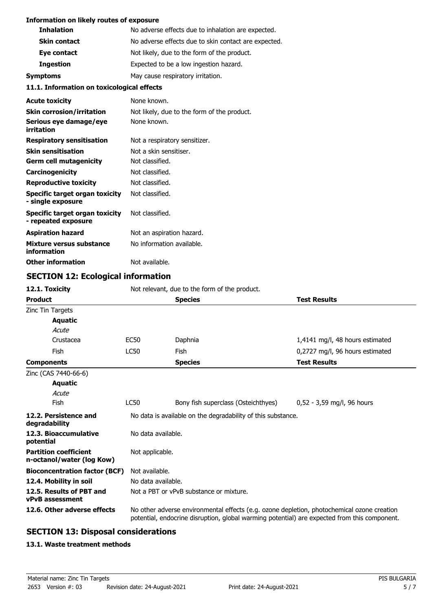#### **Information on likely routes of exposure**

| <b>Inhalation</b>   | No adverse effects due to inhalation are expected.   |  |
|---------------------|------------------------------------------------------|--|
| <b>Skin contact</b> | No adverse effects due to skin contact are expected. |  |
| Eye contact         | Not likely, due to the form of the product.          |  |
| <b>Ingestion</b>    | Expected to be a low ingestion hazard.               |  |
| Symptoms            | May cause respiratory irritation.                    |  |

### **11.1. Information on toxicological effects**

| <b>Acute toxicity</b>                                 | None known.                                 |
|-------------------------------------------------------|---------------------------------------------|
| <b>Skin corrosion/irritation</b>                      | Not likely, due to the form of the product. |
| Serious eye damage/eye<br>irritation                  | None known.                                 |
| <b>Respiratory sensitisation</b>                      | Not a respiratory sensitizer.               |
| <b>Skin sensitisation</b>                             | Not a skin sensitiser.                      |
| <b>Germ cell mutagenicity</b>                         | Not classified.                             |
| <b>Carcinogenicity</b>                                | Not classified.                             |
| <b>Reproductive toxicity</b>                          | Not classified.                             |
| Specific target organ toxicity<br>- single exposure   | Not classified.                             |
| Specific target organ toxicity<br>- repeated exposure | Not classified.                             |
| <b>Aspiration hazard</b>                              | Not an aspiration hazard.                   |
| Mixture versus substance<br>information               | No information available.                   |
| <b>Other information</b>                              | Not available.                              |

# **SECTION 12: Ecological information**

| 12.1. Toxicity                                            | Not relevant, due to the form of the product.                |                                                                                                                                                                                            |                                 |  |
|-----------------------------------------------------------|--------------------------------------------------------------|--------------------------------------------------------------------------------------------------------------------------------------------------------------------------------------------|---------------------------------|--|
| <b>Product</b>                                            |                                                              | <b>Species</b>                                                                                                                                                                             | <b>Test Results</b>             |  |
| Zinc Tin Targets                                          |                                                              |                                                                                                                                                                                            |                                 |  |
| <b>Aquatic</b>                                            |                                                              |                                                                                                                                                                                            |                                 |  |
| Acute                                                     |                                                              |                                                                                                                                                                                            |                                 |  |
| Crustacea                                                 | EC50                                                         | Daphnia                                                                                                                                                                                    | 1,4141 mg/l, 48 hours estimated |  |
| Fish                                                      | <b>LC50</b>                                                  | Fish                                                                                                                                                                                       | 0,2727 mg/l, 96 hours estimated |  |
| <b>Components</b>                                         |                                                              | <b>Species</b>                                                                                                                                                                             | <b>Test Results</b>             |  |
| Zinc (CAS 7440-66-6)                                      |                                                              |                                                                                                                                                                                            |                                 |  |
| <b>Aquatic</b>                                            |                                                              |                                                                                                                                                                                            |                                 |  |
| Acute                                                     |                                                              |                                                                                                                                                                                            |                                 |  |
| Fish                                                      | <b>LC50</b>                                                  | Bony fish superclass (Osteichthyes)                                                                                                                                                        | $0.52 - 3.59$ mg/l, 96 hours    |  |
| 12.2. Persistence and<br>degradability                    | No data is available on the degradability of this substance. |                                                                                                                                                                                            |                                 |  |
| 12.3. Bioaccumulative<br>potential                        |                                                              | No data available.                                                                                                                                                                         |                                 |  |
| <b>Partition coefficient</b><br>n-octanol/water (log Kow) | Not applicable.                                              |                                                                                                                                                                                            |                                 |  |
| <b>Bioconcentration factor (BCF)</b>                      | Not available.                                               |                                                                                                                                                                                            |                                 |  |
| 12.4. Mobility in soil                                    | No data available.                                           |                                                                                                                                                                                            |                                 |  |
| 12.5. Results of PBT and<br><b>vPvB</b> assessment        | Not a PBT or vPvB substance or mixture.                      |                                                                                                                                                                                            |                                 |  |
| 12.6. Other adverse effects                               |                                                              | No other adverse environmental effects (e.g. ozone depletion, photochemical ozone creation<br>potential, endocrine disruption, global warming potential) are expected from this component. |                                 |  |

# **SECTION 13: Disposal considerations**

### **13.1. Waste treatment methods**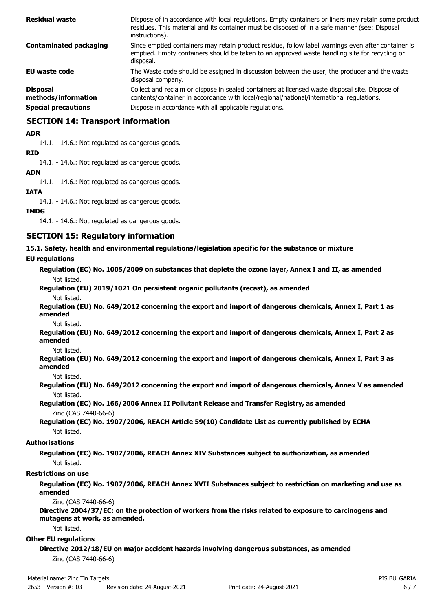| <b>Residual waste</b>                  | Dispose of in accordance with local regulations. Empty containers or liners may retain some product<br>residues. This material and its container must be disposed of in a safe manner (see: Disposal<br>instructions). |
|----------------------------------------|------------------------------------------------------------------------------------------------------------------------------------------------------------------------------------------------------------------------|
| <b>Contaminated packaging</b>          | Since emptied containers may retain product residue, follow label warnings even after container is<br>emptied. Empty containers should be taken to an approved waste handling site for recycling or<br>disposal.       |
| <b>EU waste code</b>                   | The Waste code should be assigned in discussion between the user, the producer and the waste<br>disposal company.                                                                                                      |
| <b>Disposal</b><br>methods/information | Collect and reclaim or dispose in sealed containers at licensed waste disposal site. Dispose of<br>contents/container in accordance with local/regional/national/international regulations.                            |
| <b>Special precautions</b>             | Dispose in accordance with all applicable regulations.                                                                                                                                                                 |

### **SECTION 14: Transport information**

#### **ADR**

14.1. - 14.6.: Not regulated as dangerous goods.

#### **RID**

14.1. - 14.6.: Not regulated as dangerous goods.

#### **ADN**

14.1. - 14.6.: Not regulated as dangerous goods.

#### **IATA**

14.1. - 14.6.: Not regulated as dangerous goods.

#### **IMDG**

14.1. - 14.6.: Not regulated as dangerous goods.

### **SECTION 15: Regulatory information**

**15.1. Safety, health and environmental regulations/legislation specific for the substance or mixture**

#### **EU regulations**

**Regulation (EC) No. 1005/2009 on substances that deplete the ozone layer, Annex I and II, as amended** Not listed.

# **Regulation (EU) 2019/1021 On persistent organic pollutants (recast), as amended**

Not listed.

**Regulation (EU) No. 649/2012 concerning the export and import of dangerous chemicals, Annex I, Part 1 as amended**

Not listed.

**Regulation (EU) No. 649/2012 concerning the export and import of dangerous chemicals, Annex I, Part 2 as amended**

Not listed.

**Regulation (EU) No. 649/2012 concerning the export and import of dangerous chemicals, Annex I, Part 3 as amended**

Not listed.

**Regulation (EU) No. 649/2012 concerning the export and import of dangerous chemicals, Annex V as amended** Not listed.

**Regulation (EC) No. 166/2006 Annex II Pollutant Release and Transfer Registry, as amended** Zinc (CAS 7440-66-6)

**Regulation (EC) No. 1907/2006, REACH Article 59(10) Candidate List as currently published by ECHA** Not listed.

#### **Authorisations**

**Regulation (EC) No. 1907/2006, REACH Annex XIV Substances subject to authorization, as amended** Not listed.

#### **Restrictions on use**

**Regulation (EC) No. 1907/2006, REACH Annex XVII Substances subject to restriction on marketing and use as amended**

Zinc (CAS 7440-66-6)

**Directive 2004/37/EC: on the protection of workers from the risks related to exposure to carcinogens and mutagens at work, as amended.**

Not listed.

#### **Other EU regulations**

**Directive 2012/18/EU on major accident hazards involving dangerous substances, as amended**

Zinc (CAS 7440-66-6)